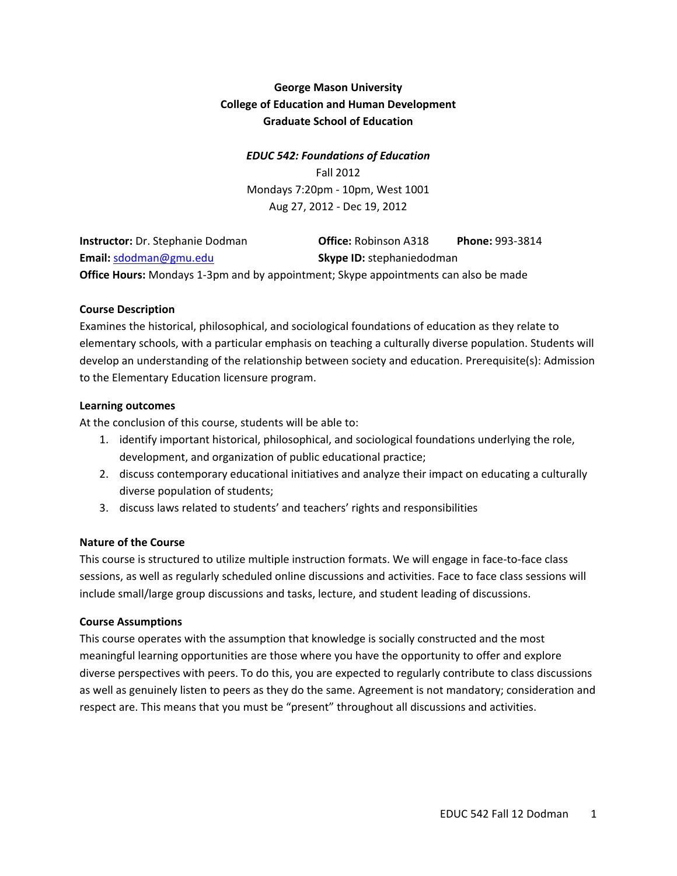# **George Mason University College of Education and Human Development Graduate School of Education**

## *EDUC 542: Foundations of Education*

Fall 2012 Mondays 7:20pm ‐ 10pm, West 1001 Aug 27, 2012 ‐ Dec 19, 2012

| <b>Instructor:</b> Dr. Stephanie Dodman                                                    | <b>Office: Robinson A318</b>     | <b>Phone: 993-3814</b> |
|--------------------------------------------------------------------------------------------|----------------------------------|------------------------|
| Email: sdodman@gmu.edu                                                                     | <b>Skype ID:</b> stephaniedodman |                        |
| <b>Office Hours:</b> Mondays 1-3pm and by appointment; Skype appointments can also be made |                                  |                        |

#### **Course Description**

Examines the historical, philosophical, and sociological foundations of education as they relate to elementary schools, with a particular emphasis on teaching a culturally diverse population. Students will develop an understanding of the relationship between society and education. Prerequisite(s): Admission to the Elementary Education licensure program.

#### **Learning outcomes**

At the conclusion of this course, students will be able to:

- 1. identify important historical, philosophical, and sociological foundations underlying the role, development, and organization of public educational practice;
- 2. discuss contemporary educational initiatives and analyze their impact on educating a culturally diverse population of students;
- 3. discuss laws related to students' and teachers' rights and responsibilities

#### **Nature of the Course**

This course is structured to utilize multiple instruction formats. We will engage in face‐to‐face class sessions, as well as regularly scheduled online discussions and activities. Face to face class sessions will include small/large group discussions and tasks, lecture, and student leading of discussions.

#### **Course Assumptions**

This course operates with the assumption that knowledge is socially constructed and the most meaningful learning opportunities are those where you have the opportunity to offer and explore diverse perspectives with peers. To do this, you are expected to regularly contribute to class discussions as well as genuinely listen to peers as they do the same. Agreement is not mandatory; consideration and respect are. This means that you must be "present" throughout all discussions and activities.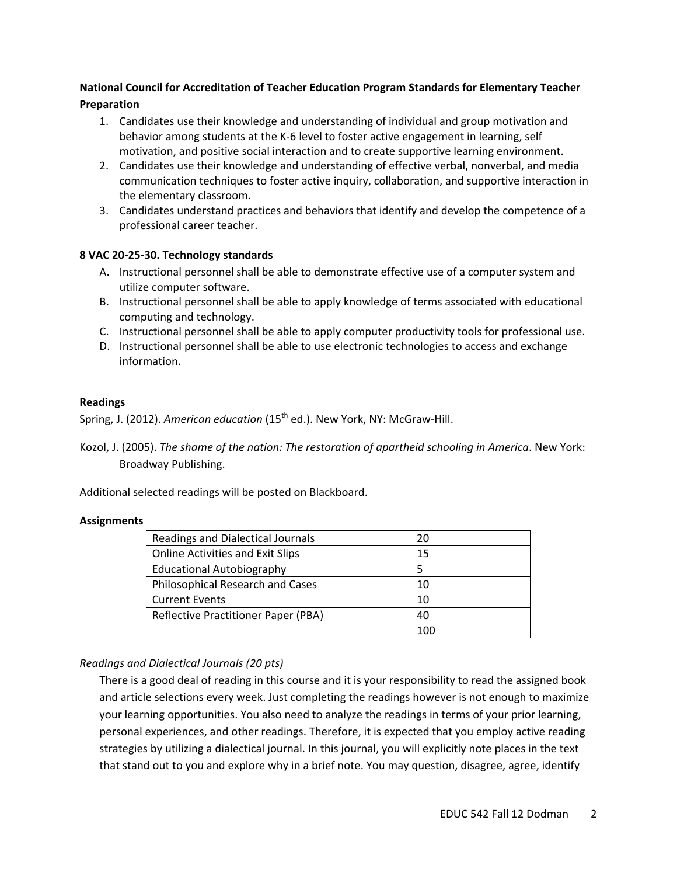# **National Council for Accreditation of Teacher Education Program Standards for Elementary Teacher Preparation**

- 1. Candidates use their knowledge and understanding of individual and group motivation and behavior among students at the K‐6 level to foster active engagement in learning, self motivation, and positive social interaction and to create supportive learning environment.
- 2. Candidates use their knowledge and understanding of effective verbal, nonverbal, and media communication techniques to foster active inquiry, collaboration, and supportive interaction in the elementary classroom.
- 3. Candidates understand practices and behaviors that identify and develop the competence of a professional career teacher.

## **8 VAC 20‐25‐30. Technology standards**

- A. Instructional personnel shall be able to demonstrate effective use of a computer system and utilize computer software.
- B. Instructional personnel shall be able to apply knowledge of terms associated with educational computing and technology.
- C. Instructional personnel shall be able to apply computer productivity tools for professional use.
- D. Instructional personnel shall be able to use electronic technologies to access and exchange information.

## **Readings**

Spring, J. (2012). *American education* (15<sup>th</sup> ed.). New York, NY: McGraw-Hill.

Kozol, J. (2005). *The shame of the nation: The restoration of apartheid schooling in America*. New York: Broadway Publishing.

Additional selected readings will be posted on Blackboard.

#### **Assignments**

| Readings and Dialectical Journals       | 20 |
|-----------------------------------------|----|
| <b>Online Activities and Exit Slips</b> | 15 |
| <b>Educational Autobiography</b>        |    |
| Philosophical Research and Cases        | 10 |
| <b>Current Events</b>                   | 10 |
| Reflective Practitioner Paper (PBA)     | 40 |
|                                         |    |

# *Readings and Dialectical Journals (20 pts)*

There is a good deal of reading in this course and it is your responsibility to read the assigned book and article selections every week. Just completing the readings however is not enough to maximize your learning opportunities. You also need to analyze the readings in terms of your prior learning, personal experiences, and other readings. Therefore, it is expected that you employ active reading strategies by utilizing a dialectical journal. In this journal, you will explicitly note places in the text that stand out to you and explore why in a brief note. You may question, disagree, agree, identify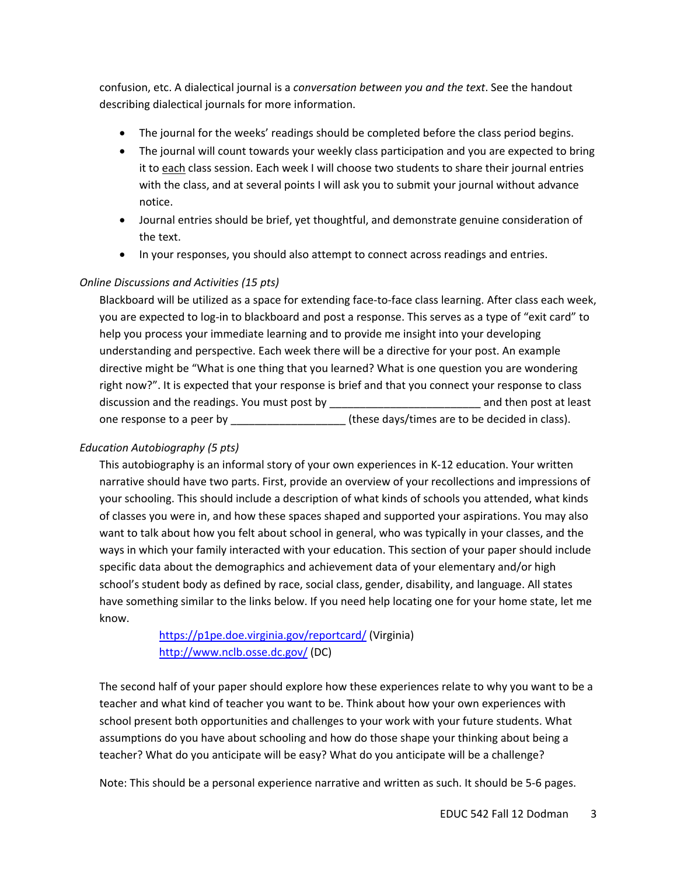confusion, etc. A dialectical journal is a *conversation between you and the text*. See the handout describing dialectical journals for more information.

- The journal for the weeks' readings should be completed before the class period begins.
- The journal will count towards your weekly class participation and you are expected to bring it to each class session. Each week I will choose two students to share their journal entries with the class, and at several points I will ask you to submit your journal without advance notice.
- Journal entries should be brief, yet thoughtful, and demonstrate genuine consideration of the text.
- In your responses, you should also attempt to connect across readings and entries.

# *Online Discussions and Activities (15 pts)*

Blackboard will be utilized as a space for extending face‐to‐face class learning. After class each week, you are expected to log‐in to blackboard and post a response. This serves as a type of "exit card" to help you process your immediate learning and to provide me insight into your developing understanding and perspective. Each week there will be a directive for your post. An example directive might be "What is one thing that you learned? What is one question you are wondering right now?". It is expected that your response is brief and that you connect your response to class discussion and the readings. You must post by \_\_\_\_\_\_\_\_\_\_\_\_\_\_\_\_\_\_\_\_\_\_\_\_\_\_\_\_\_\_\_\_\_\_ and then post at least one response to a peer by entitled as a set of these days/times are to be decided in class).

# *Education Autobiography (5 pts)*

This autobiography is an informal story of your own experiences in K‐12 education. Your written narrative should have two parts. First, provide an overview of your recollections and impressions of your schooling. This should include a description of what kinds of schools you attended, what kinds of classes you were in, and how these spaces shaped and supported your aspirations. You may also want to talk about how you felt about school in general, who was typically in your classes, and the ways in which your family interacted with your education. This section of your paper should include specific data about the demographics and achievement data of your elementary and/or high school's student body as defined by race, social class, gender, disability, and language. All states have something similar to the links below. If you need help locating one for your home state, let me know.

> https://p1pe.doe.virginia.gov/reportcard/ (Virginia) http://www.nclb.osse.dc.gov/ (DC)

The second half of your paper should explore how these experiences relate to why you want to be a teacher and what kind of teacher you want to be. Think about how your own experiences with school present both opportunities and challenges to your work with your future students. What assumptions do you have about schooling and how do those shape your thinking about being a teacher? What do you anticipate will be easy? What do you anticipate will be a challenge?

Note: This should be a personal experience narrative and written as such. It should be 5‐6 pages.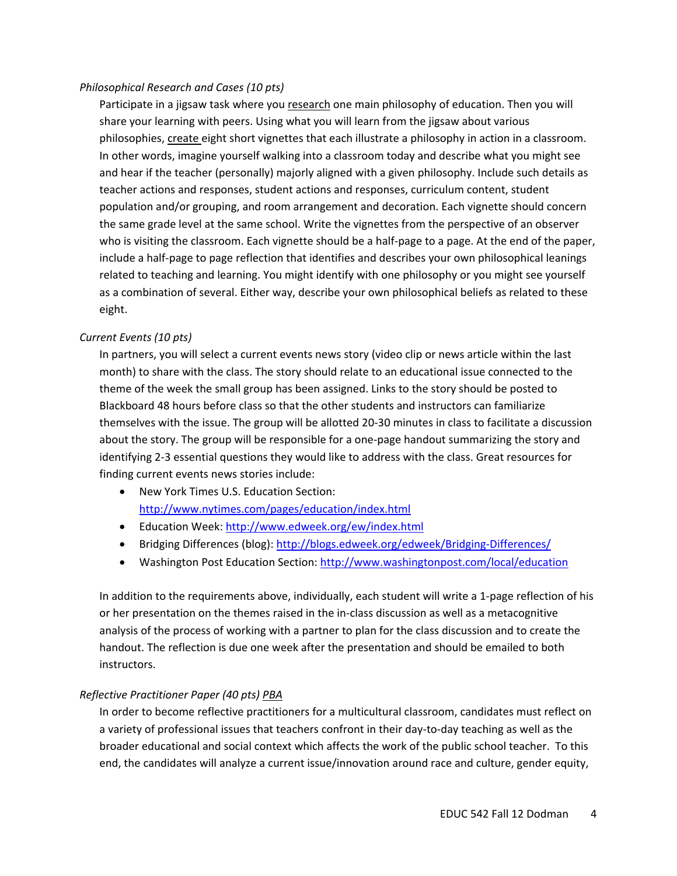#### *Philosophical Research and Cases (10 pts)*

Participate in a jigsaw task where you research one main philosophy of education. Then you will share your learning with peers. Using what you will learn from the jigsaw about various philosophies, create eight short vignettes that each illustrate a philosophy in action in a classroom. In other words, imagine yourself walking into a classroom today and describe what you might see and hear if the teacher (personally) majorly aligned with a given philosophy. Include such details as teacher actions and responses, student actions and responses, curriculum content, student population and/or grouping, and room arrangement and decoration. Each vignette should concern the same grade level at the same school. Write the vignettes from the perspective of an observer who is visiting the classroom. Each vignette should be a half‐page to a page. At the end of the paper, include a half-page to page reflection that identifies and describes your own philosophical leanings related to teaching and learning. You might identify with one philosophy or you might see yourself as a combination of several. Either way, describe your own philosophical beliefs as related to these eight.

#### *Current Events (10 pts)*

In partners, you will select a current events news story (video clip or news article within the last month) to share with the class. The story should relate to an educational issue connected to the theme of the week the small group has been assigned. Links to the story should be posted to Blackboard 48 hours before class so that the other students and instructors can familiarize themselves with the issue. The group will be allotted 20‐30 minutes in class to facilitate a discussion about the story. The group will be responsible for a one‐page handout summarizing the story and identifying 2‐3 essential questions they would like to address with the class. Great resources for finding current events news stories include:

- New York Times U.S. Education Section: http://www.nytimes.com/pages/education/index.html
- Education Week: http://www.edweek.org/ew/index.html
- Bridging Differences (blog): http://blogs.edweek.org/edweek/Bridging‐Differences/
- Washington Post Education Section: http://www.washingtonpost.com/local/education

In addition to the requirements above, individually, each student will write a 1‐page reflection of his or her presentation on the themes raised in the in‐class discussion as well as a metacognitive analysis of the process of working with a partner to plan for the class discussion and to create the handout. The reflection is due one week after the presentation and should be emailed to both instructors.

#### *Reflective Practitioner Paper (40 pts) PBA*

In order to become reflective practitioners for a multicultural classroom, candidates must reflect on a variety of professional issues that teachers confront in their day‐to‐day teaching as well as the broader educational and social context which affects the work of the public school teacher. To this end, the candidates will analyze a current issue/innovation around race and culture, gender equity,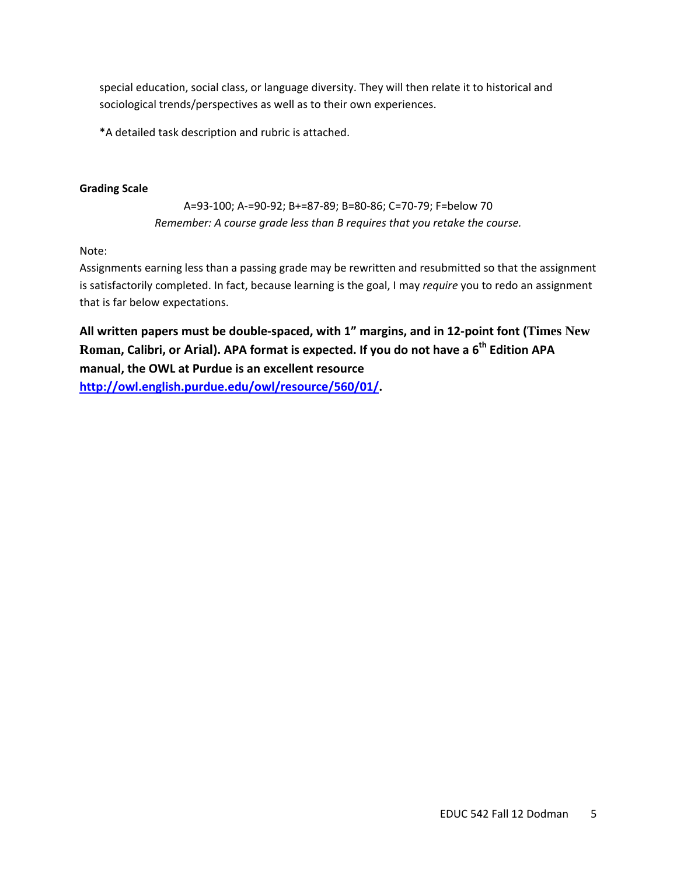special education, social class, or language diversity. They will then relate it to historical and sociological trends/perspectives as well as to their own experiences.

\*A detailed task description and rubric is attached.

#### **Grading Scale**

A=93‐100; A‐=90‐92; B+=87‐89; B=80‐86; C=70‐79; F=below 70 *Remember: A course grade less than B requires that you retake the course.*

# Note:

Assignments earning less than a passing grade may be rewritten and resubmitted so that the assignment is satisfactorily completed. In fact, because learning is the goal, I may *require* you to redo an assignment that is far below expectations.

**All written papers must be double‐spaced, with 1" margins, and in 12‐point font (Times New Roman, Calibri, or Arial). APA format is expected. If you do not have a 6th Edition APA manual, the OWL at Purdue is an excellent resource http://owl.english.purdue.edu/owl/resource/560/01/.**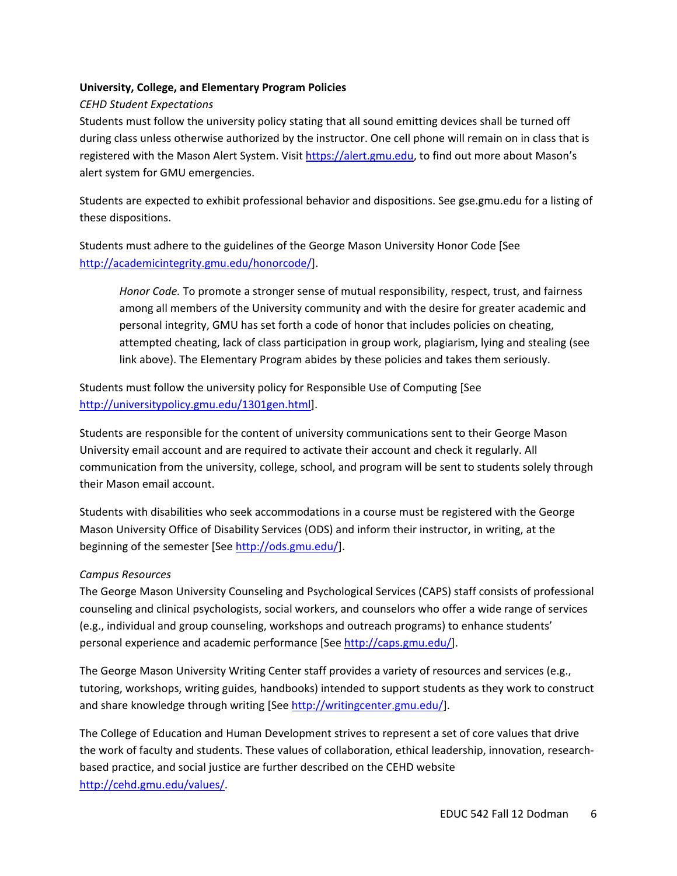## **University, College, and Elementary Program Policies**

## *CEHD Student Expectations*

Students must follow the university policy stating that all sound emitting devices shall be turned off during class unless otherwise authorized by the instructor. One cell phone will remain on in class that is registered with the Mason Alert System. Visit https://alert.gmu.edu, to find out more about Mason's alert system for GMU emergencies.

Students are expected to exhibit professional behavior and dispositions. See gse.gmu.edu for a listing of these dispositions.

Students must adhere to the guidelines of the George Mason University Honor Code [See http://academicintegrity.gmu.edu/honorcode/].

*Honor Code.* To promote a stronger sense of mutual responsibility, respect, trust, and fairness among all members of the University community and with the desire for greater academic and personal integrity, GMU has set forth a code of honor that includes policies on cheating, attempted cheating, lack of class participation in group work, plagiarism, lying and stealing (see link above). The Elementary Program abides by these policies and takes them seriously.

Students must follow the university policy for Responsible Use of Computing [See http://universitypolicy.gmu.edu/1301gen.html].

Students are responsible for the content of university communications sent to their George Mason University email account and are required to activate their account and check it regularly. All communication from the university, college, school, and program will be sent to students solely through their Mason email account.

Students with disabilities who seek accommodations in a course must be registered with the George Mason University Office of Disability Services (ODS) and inform their instructor, in writing, at the beginning of the semester [See http://ods.gmu.edu/].

# *Campus Resources*

The George Mason University Counseling and Psychological Services (CAPS) staff consists of professional counseling and clinical psychologists, social workers, and counselors who offer a wide range of services (e.g., individual and group counseling, workshops and outreach programs) to enhance students' personal experience and academic performance [See http://caps.gmu.edu/].

The George Mason University Writing Center staff provides a variety of resources and services (e.g., tutoring, workshops, writing guides, handbooks) intended to support students as they work to construct and share knowledge through writing [See http://writingcenter.gmu.edu/].

The College of Education and Human Development strives to represent a set of core values that drive the work of faculty and students. These values of collaboration, ethical leadership, innovation, research‐ based practice, and social justice are further described on the CEHD website http://cehd.gmu.edu/values/.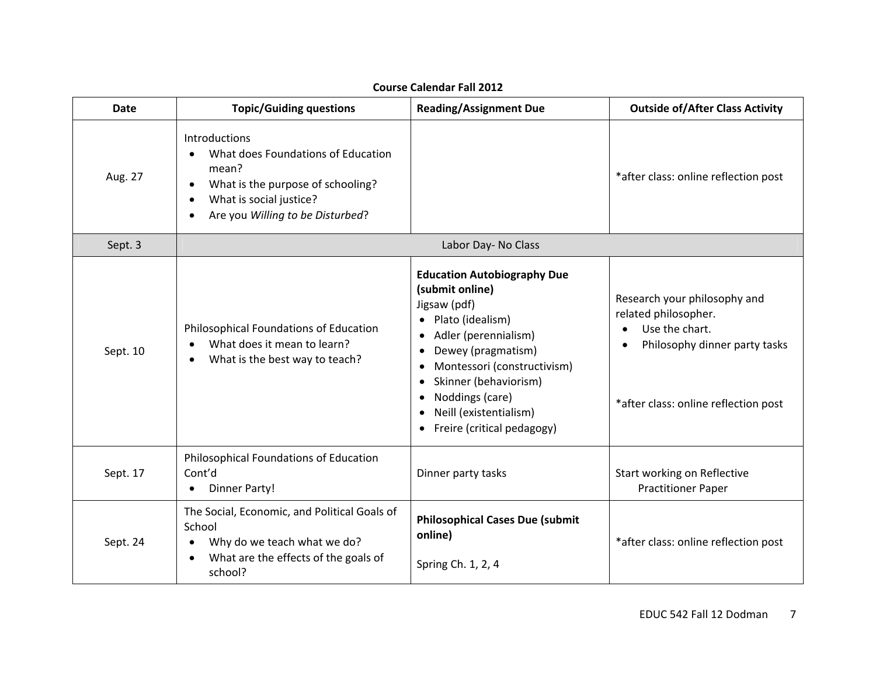| Date     | <b>Topic/Guiding questions</b>                                                                                                                                               | <b>Reading/Assignment Due</b>                                                                                                                                                                                                                                                                                     | <b>Outside of/After Class Activity</b>                                                                                                                                    |
|----------|------------------------------------------------------------------------------------------------------------------------------------------------------------------------------|-------------------------------------------------------------------------------------------------------------------------------------------------------------------------------------------------------------------------------------------------------------------------------------------------------------------|---------------------------------------------------------------------------------------------------------------------------------------------------------------------------|
| Aug. 27  | <b>Introductions</b><br>What does Foundations of Education<br>mean?<br>What is the purpose of schooling?<br>٠<br>What is social justice?<br>Are you Willing to be Disturbed? |                                                                                                                                                                                                                                                                                                                   | *after class: online reflection post                                                                                                                                      |
| Sept. 3  |                                                                                                                                                                              | Labor Day- No Class                                                                                                                                                                                                                                                                                               |                                                                                                                                                                           |
| Sept. 10 | Philosophical Foundations of Education<br>What does it mean to learn?<br>What is the best way to teach?<br>$\bullet$                                                         | <b>Education Autobiography Due</b><br>(submit online)<br>Jigsaw (pdf)<br>Plato (idealism)<br>$\bullet$<br>Adler (perennialism)<br>$\bullet$<br>Dewey (pragmatism)<br>Montessori (constructivism)<br>Skinner (behaviorism)<br>Noddings (care)<br>Neill (existentialism)<br>$\bullet$<br>Freire (critical pedagogy) | Research your philosophy and<br>related philosopher.<br>Use the chart.<br>$\bullet$<br>Philosophy dinner party tasks<br>$\bullet$<br>*after class: online reflection post |
| Sept. 17 | Philosophical Foundations of Education<br>Cont'd<br>Dinner Party!                                                                                                            | Dinner party tasks                                                                                                                                                                                                                                                                                                | Start working on Reflective<br><b>Practitioner Paper</b>                                                                                                                  |
| Sept. 24 | The Social, Economic, and Political Goals of<br>School<br>Why do we teach what we do?<br>What are the effects of the goals of<br>$\bullet$<br>school?                        | <b>Philosophical Cases Due (submit</b><br>online)<br>Spring Ch. 1, 2, 4                                                                                                                                                                                                                                           | *after class: online reflection post                                                                                                                                      |

#### **Course Calendar Fall 2012**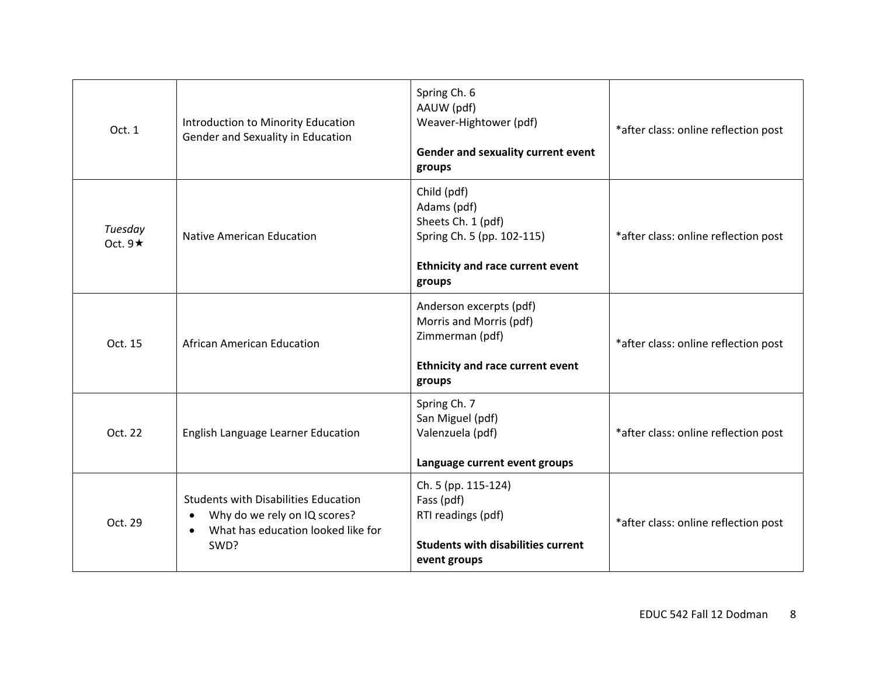| Oct. 1                   | Introduction to Minority Education<br>Gender and Sexuality in Education                                                                             | Spring Ch. 6<br>AAUW (pdf)<br>Weaver-Hightower (pdf)<br>Gender and sexuality current event<br>groups                                | *after class: online reflection post |
|--------------------------|-----------------------------------------------------------------------------------------------------------------------------------------------------|-------------------------------------------------------------------------------------------------------------------------------------|--------------------------------------|
| Tuesday<br>Oct. $9\star$ | <b>Native American Education</b>                                                                                                                    | Child (pdf)<br>Adams (pdf)<br>Sheets Ch. 1 (pdf)<br>Spring Ch. 5 (pp. 102-115)<br><b>Ethnicity and race current event</b><br>groups | *after class: online reflection post |
| Oct. 15                  | African American Education                                                                                                                          | Anderson excerpts (pdf)<br>Morris and Morris (pdf)<br>Zimmerman (pdf)<br><b>Ethnicity and race current event</b><br>groups          | *after class: online reflection post |
| Oct. 22                  | English Language Learner Education                                                                                                                  | Spring Ch. 7<br>San Miguel (pdf)<br>Valenzuela (pdf)<br>Language current event groups                                               | *after class: online reflection post |
| Oct. 29                  | <b>Students with Disabilities Education</b><br>Why do we rely on IQ scores?<br>$\bullet$<br>What has education looked like for<br>$\bullet$<br>SWD? | Ch. 5 (pp. 115-124)<br>Fass (pdf)<br>RTI readings (pdf)<br><b>Students with disabilities current</b><br>event groups                | *after class: online reflection post |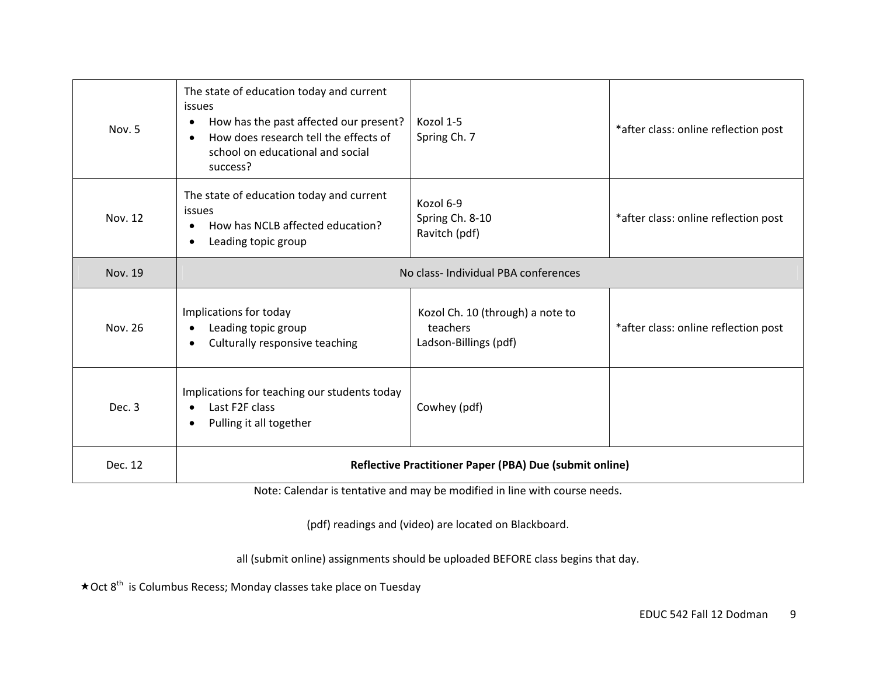| Nov. 5                                                             | The state of education today and current<br>issues<br>How has the past affected our present?<br>How does research tell the effects of<br>school on educational and social<br>success? | Kozol 1-5<br>Spring Ch. 7                                             | *after class: online reflection post |
|--------------------------------------------------------------------|---------------------------------------------------------------------------------------------------------------------------------------------------------------------------------------|-----------------------------------------------------------------------|--------------------------------------|
| Nov. 12                                                            | The state of education today and current<br>issues<br>How has NCLB affected education?<br>Leading topic group                                                                         | Kozol 6-9<br>Spring Ch. 8-10<br>Ravitch (pdf)                         | *after class: online reflection post |
| Nov. 19                                                            | No class- Individual PBA conferences                                                                                                                                                  |                                                                       |                                      |
| Nov. 26                                                            | Implications for today<br>Leading topic group<br>Culturally responsive teaching<br>$\bullet$                                                                                          | Kozol Ch. 10 (through) a note to<br>teachers<br>Ladson-Billings (pdf) | *after class: online reflection post |
| Dec. 3                                                             | Implications for teaching our students today<br>Last F2F class<br>Pulling it all together                                                                                             | Cowhey (pdf)                                                          |                                      |
| Dec. 12<br>Reflective Practitioner Paper (PBA) Due (submit online) |                                                                                                                                                                                       |                                                                       |                                      |

Note: Calendar is tentative and may be modified in line with course needs.

(pdf) readings and (video) are located on Blackboard.

all (submit online) assignments should be uploaded BEFORE class begins that day.

 $\star$  Oct  $8^{th}$  is Columbus Recess; Monday classes take place on Tuesday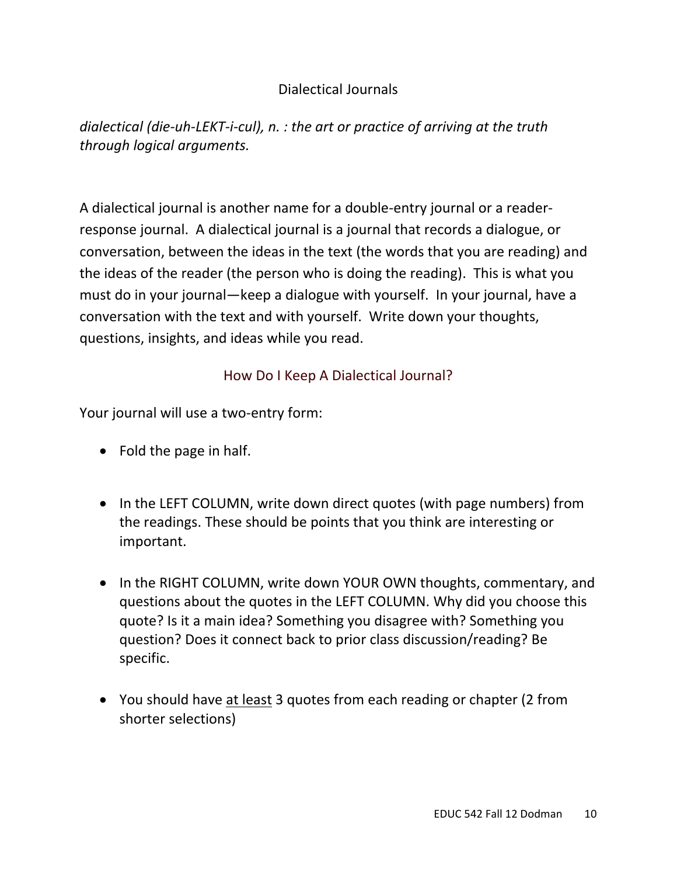# Dialectical Journals

dialectical (die-uh-LEKT-i-cul),  $n.$ : the art or practice of arriving at the truth *through logical arguments.*

A dialectical journal is another name for a double‐entry journal or a reader‐ response journal. A dialectical journal is a journal that records a dialogue, or conversation, between the ideas in the text (the words that you are reading) and the ideas of the reader (the person who is doing the reading). This is what you must do in your journal—keep a dialogue with yourself. In your journal, have a conversation with the text and with yourself. Write down your thoughts, questions, insights, and ideas while you read.

# How Do I Keep A Dialectical Journal?

Your journal will use a two-entry form:

- Fold the page in half.
- In the LEFT COLUMN, write down direct quotes (with page numbers) from the readings. These should be points that you think are interesting or important.
- In the RIGHT COLUMN, write down YOUR OWN thoughts, commentary, and questions about the quotes in the LEFT COLUMN. Why did you choose this quote? Is it a main idea? Something you disagree with? Something you question? Does it connect back to prior class discussion/reading? Be specific.
- You should have at least 3 quotes from each reading or chapter (2 from shorter selections)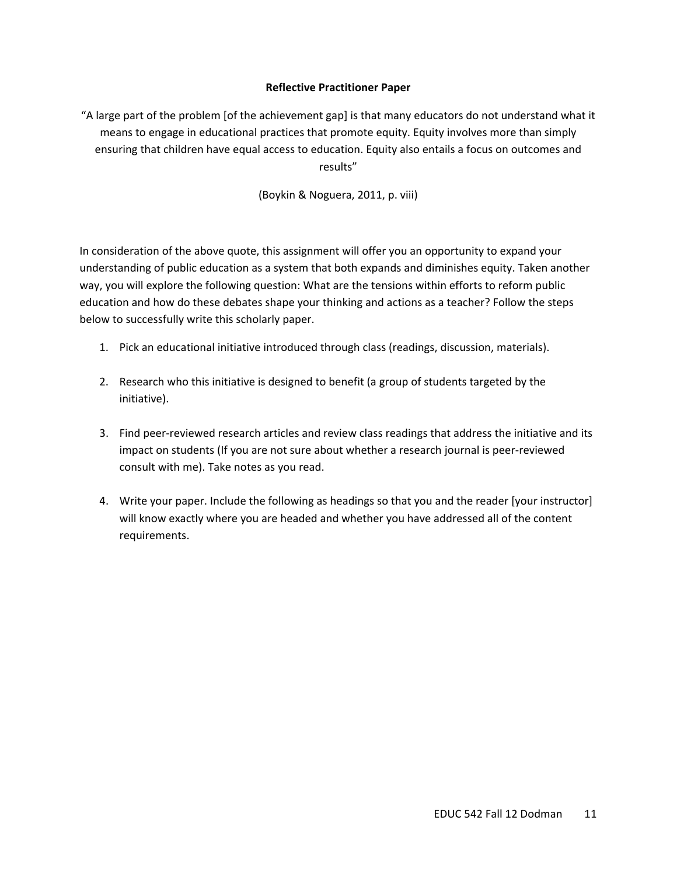### **Reflective Practitioner Paper**

"A large part of the problem [of the achievement gap] is that many educators do not understand what it means to engage in educational practices that promote equity. Equity involves more than simply ensuring that children have equal access to education. Equity also entails a focus on outcomes and results"

(Boykin & Noguera, 2011, p. viii)

In consideration of the above quote, this assignment will offer you an opportunity to expand your understanding of public education as a system that both expands and diminishes equity. Taken another way, you will explore the following question: What are the tensions within efforts to reform public education and how do these debates shape your thinking and actions as a teacher? Follow the steps below to successfully write this scholarly paper.

- 1. Pick an educational initiative introduced through class (readings, discussion, materials).
- 2. Research who this initiative is designed to benefit (a group of students targeted by the initiative).
- 3. Find peer-reviewed research articles and review class readings that address the initiative and its impact on students (If you are not sure about whether a research journal is peer‐reviewed consult with me). Take notes as you read.
- 4. Write your paper. Include the following as headings so that you and the reader [your instructor] will know exactly where you are headed and whether you have addressed all of the content requirements.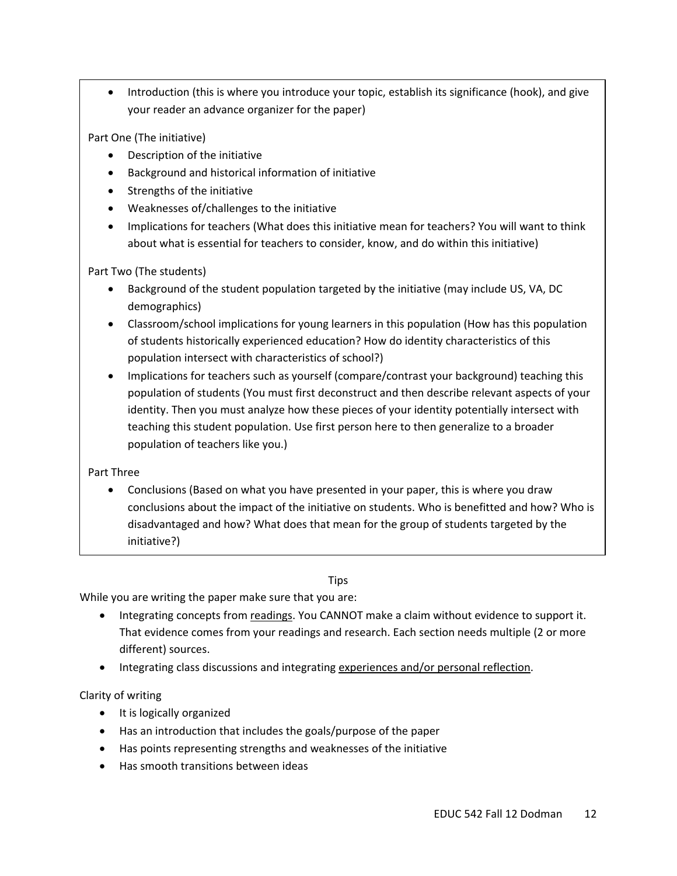• Introduction (this is where you introduce your topic, establish its significance (hook), and give your reader an advance organizer for the paper)

Part One (The initiative)

- Description of the initiative
- Background and historical information of initiative
- Strengths of the initiative
- Weaknesses of/challenges to the initiative
- Implications for teachers (What does this initiative mean for teachers? You will want to think about what is essential for teachers to consider, know, and do within this initiative)

Part Two (The students)

- Background of the student population targeted by the initiative (may include US, VA, DC demographics)
- Classroom/school implications for young learners in this population (How has this population of students historically experienced education? How do identity characteristics of this population intersect with characteristics of school?)
- Implications for teachers such as yourself (compare/contrast your background) teaching this population of students (You must first deconstruct and then describe relevant aspects of your identity. Then you must analyze how these pieces of your identity potentially intersect with teaching this student population. Use first person here to then generalize to a broader population of teachers like you.)

Part Three

 Conclusions (Based on what you have presented in your paper, this is where you draw conclusions about the impact of the initiative on students. Who is benefitted and how? Who is disadvantaged and how? What does that mean for the group of students targeted by the initiative?)

# **Tips**

While you are writing the paper make sure that you are:

- Integrating concepts from readings. You CANNOT make a claim without evidence to support it. That evidence comes from your readings and research. Each section needs multiple (2 or more different) sources.
- Integrating class discussions and integrating experiences and/or personal reflection.

Clarity of writing

- It is logically organized
- Has an introduction that includes the goals/purpose of the paper
- Has points representing strengths and weaknesses of the initiative
- Has smooth transitions between ideas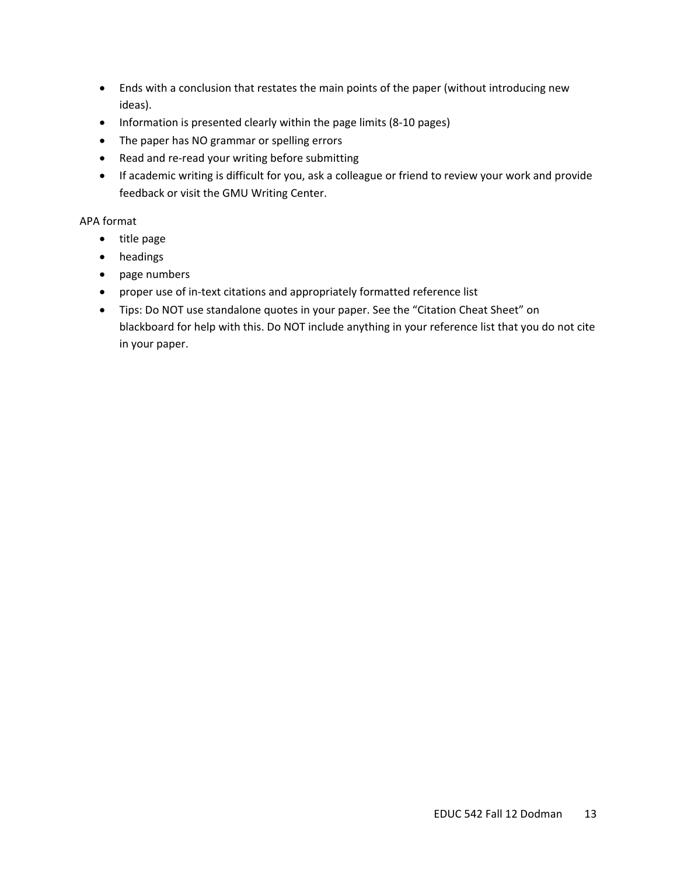- Ends with a conclusion that restates the main points of the paper (without introducing new ideas).
- Information is presented clearly within the page limits (8-10 pages)
- The paper has NO grammar or spelling errors
- Read and re-read your writing before submitting
- If academic writing is difficult for you, ask a colleague or friend to review your work and provide feedback or visit the GMU Writing Center.

# APA format

- title page
- headings
- page numbers
- proper use of in-text citations and appropriately formatted reference list
- Tips: Do NOT use standalone quotes in your paper. See the "Citation Cheat Sheet" on blackboard for help with this. Do NOT include anything in your reference list that you do not cite in your paper.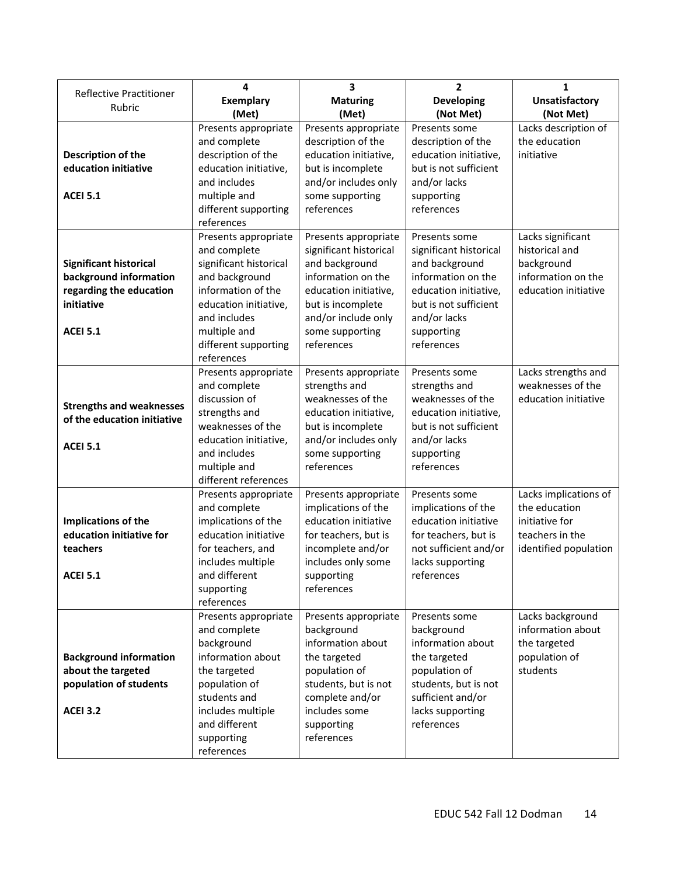|                                   | 4                                    | 3                                     | $\overline{2}$                 | 1                                        |
|-----------------------------------|--------------------------------------|---------------------------------------|--------------------------------|------------------------------------------|
| Reflective Practitioner<br>Rubric | <b>Exemplary</b>                     | <b>Maturing</b>                       | <b>Developing</b>              | <b>Unsatisfactory</b>                    |
|                                   | (Met)                                | (Met)                                 | (Not Met)                      | (Not Met)                                |
|                                   | Presents appropriate                 | Presents appropriate                  | Presents some                  | Lacks description of                     |
|                                   | and complete                         | description of the                    | description of the             | the education                            |
| Description of the                | description of the                   | education initiative,                 | education initiative,          | initiative                               |
| education initiative              | education initiative,                | but is incomplete                     | but is not sufficient          |                                          |
|                                   | and includes                         | and/or includes only                  | and/or lacks                   |                                          |
| <b>ACEI 5.1</b>                   | multiple and                         | some supporting                       | supporting<br>references       |                                          |
|                                   | different supporting<br>references   | references                            |                                |                                          |
|                                   | Presents appropriate                 | Presents appropriate                  | Presents some                  | Lacks significant                        |
|                                   | and complete                         | significant historical                | significant historical         | historical and                           |
| <b>Significant historical</b>     | significant historical               | and background                        | and background                 | background                               |
| background information            | and background                       | information on the                    | information on the             | information on the                       |
| regarding the education           | information of the                   | education initiative,                 | education initiative,          | education initiative                     |
| initiative                        | education initiative,                | but is incomplete                     | but is not sufficient          |                                          |
|                                   | and includes                         | and/or include only                   | and/or lacks                   |                                          |
| <b>ACEI 5.1</b>                   | multiple and                         | some supporting                       | supporting                     |                                          |
|                                   | different supporting                 | references                            | references                     |                                          |
|                                   | references                           |                                       |                                |                                          |
|                                   | Presents appropriate<br>and complete | Presents appropriate<br>strengths and | Presents some<br>strengths and | Lacks strengths and<br>weaknesses of the |
|                                   | discussion of                        | weaknesses of the                     | weaknesses of the              | education initiative                     |
| <b>Strengths and weaknesses</b>   | strengths and                        | education initiative,                 | education initiative,          |                                          |
| of the education initiative       | weaknesses of the                    | but is incomplete                     | but is not sufficient          |                                          |
|                                   | education initiative,                | and/or includes only                  | and/or lacks                   |                                          |
| <b>ACEI 5.1</b>                   | and includes                         | some supporting                       | supporting                     |                                          |
|                                   | multiple and                         | references                            | references                     |                                          |
|                                   | different references                 |                                       |                                |                                          |
|                                   | Presents appropriate                 | Presents appropriate                  | Presents some                  | Lacks implications of                    |
|                                   | and complete                         | implications of the                   | implications of the            | the education                            |
| Implications of the               | implications of the                  | education initiative                  | education initiative           | initiative for                           |
| education initiative for          | education initiative                 | for teachers, but is                  | for teachers, but is           | teachers in the                          |
| teachers                          | for teachers, and                    | incomplete and/or                     | not sufficient and/or          | identified population                    |
|                                   | includes multiple                    | includes only some                    | lacks supporting               |                                          |
| <b>ACEI 5.1</b>                   | and different                        | supporting<br>references              | references                     |                                          |
|                                   | supporting<br>references             |                                       |                                |                                          |
|                                   | Presents appropriate                 | Presents appropriate                  | Presents some                  | Lacks background                         |
|                                   | and complete                         | background                            | background                     | information about                        |
|                                   | background                           | information about                     | information about              | the targeted                             |
| <b>Background information</b>     | information about                    | the targeted                          | the targeted                   | population of                            |
| about the targeted                | the targeted                         | population of                         | population of                  | students                                 |
| population of students            | population of                        | students, but is not                  | students, but is not           |                                          |
|                                   | students and                         | complete and/or                       | sufficient and/or              |                                          |
| <b>ACEI 3.2</b>                   | includes multiple                    | includes some                         | lacks supporting               |                                          |
|                                   | and different                        | supporting                            | references                     |                                          |
|                                   | supporting                           | references                            |                                |                                          |
|                                   | references                           |                                       |                                |                                          |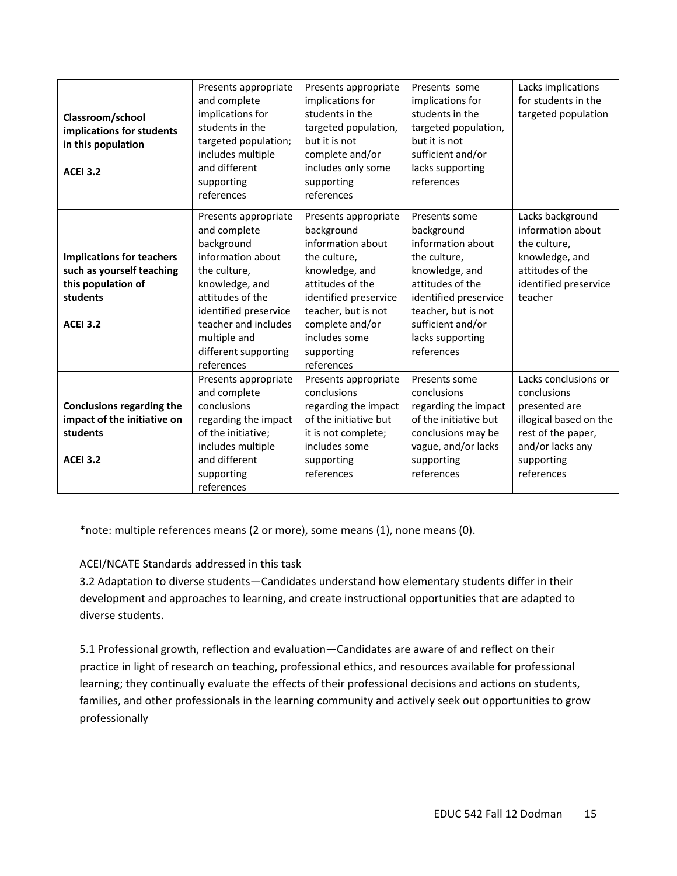|                                  | Presents appropriate                 | Presents appropriate               | Presents some               | Lacks implications                    |
|----------------------------------|--------------------------------------|------------------------------------|-----------------------------|---------------------------------------|
|                                  | and complete                         | implications for                   | implications for            | for students in the                   |
| Classroom/school                 | implications for                     | students in the                    | students in the             | targeted population                   |
| implications for students        | students in the                      | targeted population,               | targeted population,        |                                       |
| in this population               | targeted population;                 | but it is not                      | but it is not               |                                       |
|                                  | includes multiple                    | complete and/or                    | sufficient and/or           |                                       |
| <b>ACEI 3.2</b>                  | and different                        | includes only some                 | lacks supporting            |                                       |
|                                  | supporting                           | supporting                         | references                  |                                       |
|                                  | references                           | references                         |                             |                                       |
|                                  |                                      |                                    |                             |                                       |
|                                  | Presents appropriate<br>and complete | Presents appropriate<br>background | Presents some<br>background | Lacks background<br>information about |
|                                  |                                      | information about                  | information about           |                                       |
|                                  | background<br>information about      |                                    |                             | the culture,                          |
| <b>Implications for teachers</b> |                                      | the culture,                       | the culture,                | knowledge, and                        |
| such as yourself teaching        | the culture,                         | knowledge, and                     | knowledge, and              | attitudes of the                      |
| this population of               | knowledge, and                       | attitudes of the                   | attitudes of the            | identified preservice                 |
| students                         | attitudes of the                     | identified preservice              | identified preservice       | teacher                               |
|                                  | identified preservice                | teacher, but is not                | teacher, but is not         |                                       |
| <b>ACEI 3.2</b>                  | teacher and includes                 | complete and/or                    | sufficient and/or           |                                       |
|                                  | multiple and                         | includes some                      | lacks supporting            |                                       |
|                                  | different supporting                 | supporting                         | references                  |                                       |
|                                  | references                           | references                         |                             |                                       |
|                                  | Presents appropriate                 | Presents appropriate               | Presents some               | Lacks conclusions or                  |
|                                  | and complete                         | conclusions                        | conclusions                 | conclusions                           |
| <b>Conclusions regarding the</b> | conclusions                          | regarding the impact               | regarding the impact        | presented are                         |
| impact of the initiative on      | regarding the impact                 | of the initiative but              | of the initiative but       | illogical based on the                |
| students                         | of the initiative;                   | it is not complete;                | conclusions may be          | rest of the paper,                    |
|                                  | includes multiple                    | includes some                      | vague, and/or lacks         | and/or lacks any                      |
| <b>ACEI 3.2</b>                  | and different                        | supporting                         | supporting                  | supporting                            |
|                                  | supporting                           | references                         | references                  | references                            |
|                                  | references                           |                                    |                             |                                       |

\*note: multiple references means (2 or more), some means (1), none means (0).

# ACEI/NCATE Standards addressed in this task

3.2 Adaptation to diverse students—Candidates understand how elementary students differ in their development and approaches to learning, and create instructional opportunities that are adapted to diverse students.

5.1 Professional growth, reflection and evaluation—Candidates are aware of and reflect on their practice in light of research on teaching, professional ethics, and resources available for professional learning; they continually evaluate the effects of their professional decisions and actions on students, families, and other professionals in the learning community and actively seek out opportunities to grow professionally